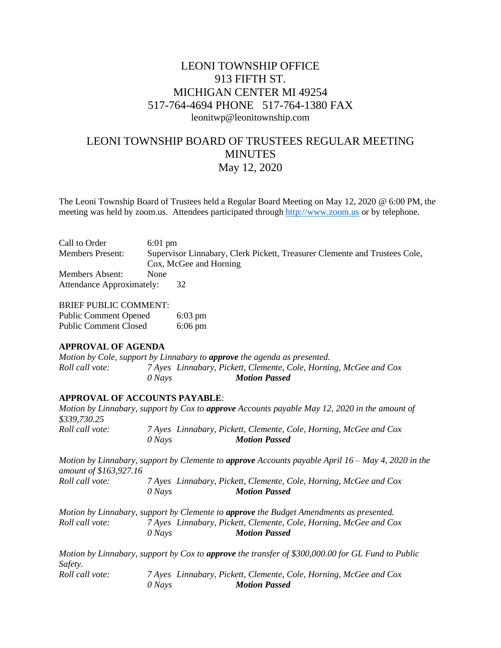# LEONI TOWNSHIP OFFICE 913 FIFTH ST. MICHIGAN CENTER MI 49254 517-764-4694 PHONE 517-764-1380 FAX leonitwp@leonitownship.com

# LEONI TOWNSHIP BOARD OF TRUSTEES REGULAR MEETING MINUTES May 12, 2020

The Leoni Township Board of Trustees held a Regular Board Meeting on May 12, 2020 @ 6:00 PM, the meeting was held by zoom.us. Attendees participated through [http://www.zoom.us](http://www.zoom.us/) or by telephone.

| Call to Order                    | $6:01$ pm                                                                  |  |  |
|----------------------------------|----------------------------------------------------------------------------|--|--|
| <b>Members Present:</b>          | Supervisor Linnabary, Clerk Pickett, Treasurer Clemente and Trustees Cole, |  |  |
|                                  | Cox, McGee and Horning                                                     |  |  |
| Members Absent:                  | <b>None</b>                                                                |  |  |
| <b>Attendance Approximately:</b> | 32                                                                         |  |  |

#### BRIEF PUBLIC COMMENT:

| <b>Public Comment Opened</b> | $6:03$ pm |
|------------------------------|-----------|
| <b>Public Comment Closed</b> | $6:06$ pm |

# **APPROVAL OF AGENDA**

*Motion by Cole, support by Linnabary to approve the agenda as presented. Roll call vote: 7 Ayes Linnabary, Pickett, Clemente, Cole, Horning, McGee and Cox 0 Nays Motion Passed*

# **APPROVAL OF ACCOUNTS PAYABLE**:

| \$339,730.25           |          | Motion by Linnabary, support by Cox to approve Accounts payable May 12, 2020 in the amount of                |  |
|------------------------|----------|--------------------------------------------------------------------------------------------------------------|--|
| Roll call vote:        | $0$ Nays | 7 Ayes Linnabary, Pickett, Clemente, Cole, Horning, McGee and Cox<br><b>Motion Passed</b>                    |  |
| amount of \$163,927.16 |          | Motion by Linnabary, support by Clemente to <b>approve</b> Accounts payable April $16 - May 4$ , 2020 in the |  |
| Roll call vote:        | $0$ Nays | 7 Ayes Linnabary, Pickett, Clemente, Cole, Horning, McGee and Cox<br><b>Motion Passed</b>                    |  |
|                        |          | Motion by Linnabary, support by Clemente to approve the Budget Amendments as presented.                      |  |
| Roll call vote:        |          | 7 Ayes Linnabary, Pickett, Clemente, Cole, Horning, McGee and Cox                                            |  |
|                        | $0$ Nays | <b>Motion Passed</b>                                                                                         |  |
|                        |          | Motion by Linnabary, support by Cox to approve the transfer of \$300,000.00 for GL Fund to Public            |  |
| Safety.                |          |                                                                                                              |  |
| Roll call vote:        |          | 7 Ayes Linnabary, Pickett, Clemente, Cole, Horning, McGee and Cox                                            |  |
|                        | $0$ Nays | <b>Motion Passed</b>                                                                                         |  |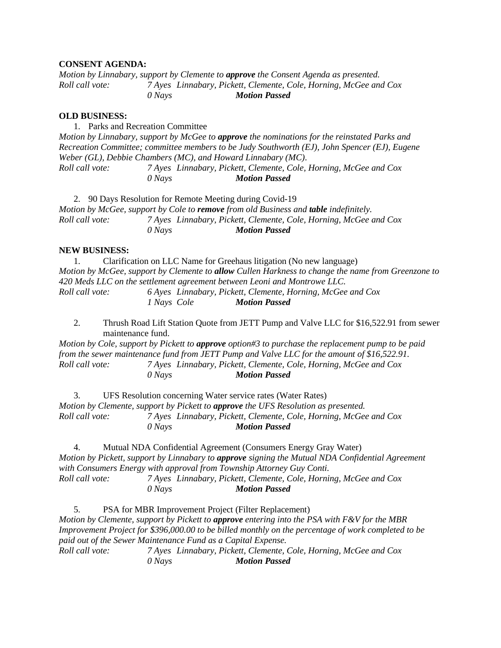## **CONSENT AGENDA:**

*Motion by Linnabary, support by Clemente to approve the Consent Agenda as presented. Roll call vote: 7 Ayes Linnabary, Pickett, Clemente, Cole, Horning, McGee and Cox 0 Nays Motion Passed*

#### **OLD BUSINESS:**

1. Parks and Recreation Committee *Motion by Linnabary, support by McGee to approve the nominations for the reinstated Parks and Recreation Committee; committee members to be Judy Southworth (EJ), John Spencer (EJ), Eugene Weber (GL), Debbie Chambers (MC), and Howard Linnabary (MC). Roll call vote: 7 Ayes Linnabary, Pickett, Clemente, Cole, Horning, McGee and Cox 0 Nays Motion Passed*

2. 90 Days Resolution for Remote Meeting during Covid-19 *Motion by McGee, support by Cole to remove from old Business and table indefinitely. Roll call vote: 7 Ayes Linnabary, Pickett, Clemente, Cole, Horning, McGee and Cox 0 Nays Motion Passed*

#### **NEW BUSINESS:**

1. Clarification on LLC Name for Greehaus litigation (No new language) *Motion by McGee, support by Clemente to allow Cullen Harkness to change the name from Greenzone to 420 Meds LLC on the settlement agreement between Leoni and Montrowe LLC. Roll call vote: 6 Ayes Linnabary, Pickett, Clemente, Horning, McGee and Cox 1 Nays Cole Motion Passed*

2. Thrush Road Lift Station Quote from JETT Pump and Valve LLC for \$16,522.91 from sewer maintenance fund.

*Motion by Cole, support by Pickett to approve option#3 to purchase the replacement pump to be paid from the sewer maintenance fund from JETT Pump and Valve LLC for the amount of \$16,522.91. Roll call vote: 7 Ayes Linnabary, Pickett, Clemente, Cole, Horning, McGee and Cox 0 Nays Motion Passed*

3. UFS Resolution concerning Water service rates (Water Rates) *Motion by Clemente, support by Pickett to approve the UFS Resolution as presented. Roll call vote: 7 Ayes Linnabary, Pickett, Clemente, Cole, Horning, McGee and Cox 0 Nays Motion Passed*

4. Mutual NDA Confidential Agreement (Consumers Energy Gray Water) *Motion by Pickett, support by Linnabary to approve signing the Mutual NDA Confidential Agreement with Consumers Energy with approval from Township Attorney Guy Conti. Roll call vote: 7 Ayes Linnabary, Pickett, Clemente, Cole, Horning, McGee and Cox 0 Nays Motion Passed*

5. PSA for MBR Improvement Project (Filter Replacement) *Motion by Clemente, support by Pickett to approve entering into the PSA with F&V for the MBR Improvement Project for \$396,000.00 to be billed monthly on the percentage of work completed to be paid out of the Sewer Maintenance Fund as a Capital Expense. Roll call vote: 7 Ayes Linnabary, Pickett, Clemente, Cole, Horning, McGee and Cox 0 Nays Motion Passed*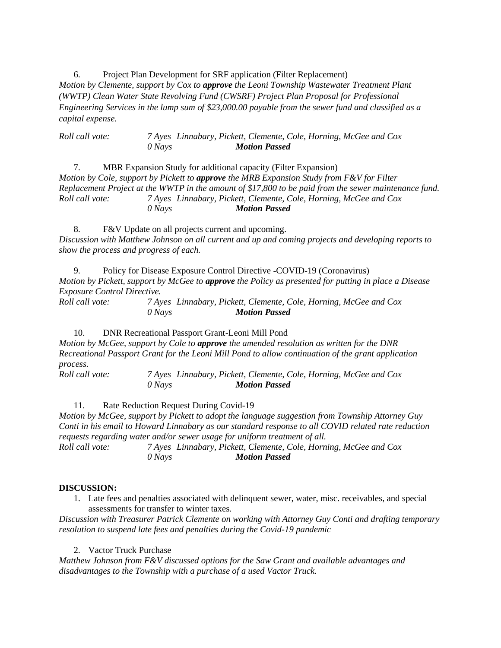6. Project Plan Development for SRF application (Filter Replacement) *Motion by Clemente, support by Cox to approve the Leoni Township Wastewater Treatment Plant (WWTP) Clean Water State Revolving Fund (CWSRF) Project Plan Proposal for Professional Engineering Services in the lump sum of \$23,000.00 payable from the sewer fund and classified as a capital expense.*

*Roll call vote: 7 Ayes Linnabary, Pickett, Clemente, Cole, Horning, McGee and Cox 0 Nays Motion Passed*

7. MBR Expansion Study for additional capacity (Filter Expansion) *Motion by Cole, support by Pickett to approve the MRB Expansion Study from F&V for Filter Replacement Project at the WWTP in the amount of \$17,800 to be paid from the sewer maintenance fund. Roll call vote: 7 Ayes Linnabary, Pickett, Clemente, Cole, Horning, McGee and Cox 0 Nays Motion Passed*

8. F&V Update on all projects current and upcoming. *Discussion with Matthew Johnson on all current and up and coming projects and developing reports to show the process and progress of each.*

9. Policy for Disease Exposure Control Directive -COVID-19 (Coronavirus) *Motion by Pickett, support by McGee to approve the Policy as presented for putting in place a Disease Exposure Control Directive.*

*Roll call vote: 7 Ayes Linnabary, Pickett, Clemente, Cole, Horning, McGee and Cox 0 Nays Motion Passed*

10. DNR Recreational Passport Grant-Leoni Mill Pond

*Motion by McGee, support by Cole to approve the amended resolution as written for the DNR Recreational Passport Grant for the Leoni Mill Pond to allow continuation of the grant application process.*

*Roll call vote: 7 Ayes Linnabary, Pickett, Clemente, Cole, Horning, McGee and Cox 0 Nays Motion Passed*

*0 Nays Motion Passed*

11. Rate Reduction Request During Covid-19 *Motion by McGee, support by Pickett to adopt the language suggestion from Township Attorney Guy Conti in his email to Howard Linnabary as our standard response to all COVID related rate reduction requests regarding water and/or sewer usage for uniform treatment of all. Roll call vote: 7 Ayes Linnabary, Pickett, Clemente, Cole, Horning, McGee and Cox*

#### **DISCUSSION:**

1. Late fees and penalties associated with delinquent sewer, water, misc. receivables, and special assessments for transfer to winter taxes.

*Discussion with Treasurer Patrick Clemente on working with Attorney Guy Conti and drafting temporary resolution to suspend late fees and penalties during the Covid-19 pandemic*

2. Vactor Truck Purchase

*Matthew Johnson from F&V discussed options for the Saw Grant and available advantages and disadvantages to the Township with a purchase of a used Vactor Truck.*